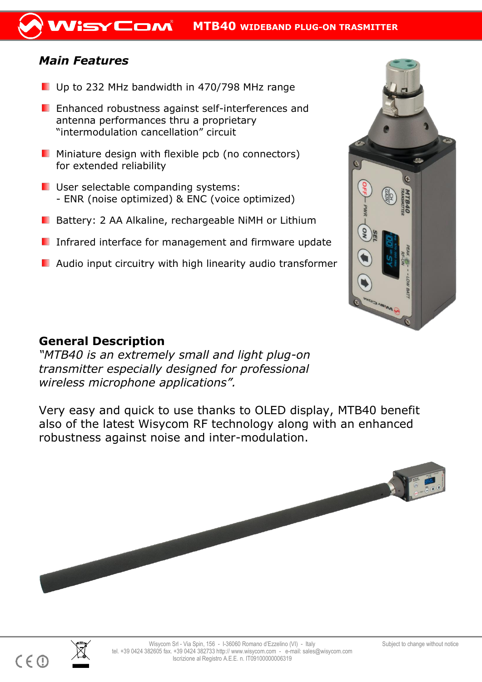## *Main Features*

- Up to 232 MHz bandwidth in 470/798 MHz range
- **E** Enhanced robustness against self-interferences and antenna performances thru a proprietary "intermodulation cancellation" circuit
- **Miniature design with flexible pcb (no connectors)** for extended reliability
- **User selectable companding systems:** - ENR (noise optimized) & ENC (voice optimized)
- **B** Battery: 2 AA Alkaline, rechargeable NiMH or Lithium
- **I** Infrared interface for management and firmware update
- **Audio input circuitry with high linearity audio transformer**



*"MTB40 is an extremely small and light plug-on transmitter especially designed for professional wireless microphone applications".* 

Very easy and quick to use thanks to OLED display, MTB40 benefit also of the latest Wisycom RF technology along with an enhanced robustness against noise and inter-modulation.





 $\overline{a}$